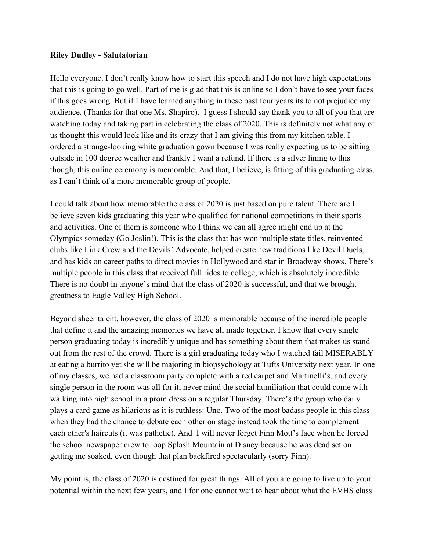## **Riley Dudley - Salutatorian**

Hello everyone. I don't really know how to start this speech and I do not have high expectations that this is going to go well. Part of me is glad that this is online so I don't have to see your faces if this goes wrong. But if I have learned anything in these past four years its to not prejudice my audience. (Thanks for that one Ms. Shapiro). I guess I should say thank you to all of you that are watching today and taking part in celebrating the class of 2020. This is definitely not what any of us thought this would look like and its crazy that I am giving this from my kitchen table. I ordered a strange-looking white graduation gown because I was really expecting us to be sitting outside in 100 degree weather and frankly I want a refund. If there is a silver lining to this though, this online ceremony is memorable. And that, I believe, is fitting of this graduating class, as I can't think of a more memorable group of people.

I could talk about how memorable the class of 2020 is just based on pure talent. There are I believe seven kids graduating this year who qualified for national competitions in their sports and activities. One of them is someone who I think we can all agree might end up at the Olympics someday (Go Joslin!). This is the class that has won multiple state titles, reinvented clubs like Link Crew and the Devils' Advocate, helped create new traditions like Devil Duels, and has kids on career paths to direct movies in Hollywood and star in Broadway shows. There's multiple people in this class that received full rides to college, which is absolutely incredible. There is no doubt in anyone's mind that the class of 2020 is successful, and that we brought greatness to Eagle Valley High School.

Beyond sheer talent, however, the class of 2020 is memorable because of the incredible people that define it and the amazing memories we have all made together. I know that every single person graduating today is incredibly unique and has something about them that makes us stand out from the rest of the crowd. There is a girl graduating today who I watched fail MISERABLY at eating a burrito yet she will be majoring in biopsychology at Tufts University next year. In one of my classes, we had a classroom party complete with a red carpet and Martinelli's, and every single person in the room was all for it, never mind the social humiliation that could come with walking into high school in a prom dress on a regular Thursday. There's the group who daily plays a card game as hilarious as it is ruthless: Uno. Two of the most badass people in this class when they had the chance to debate each other on stage instead took the time to complement each other's haircuts (it was pathetic). And I will never forget Finn Mott's face when he forced the school newspaper crew to loop Splash Mountain at Disney because he was dead set on getting me soaked, even though that plan backfired spectacularly (sorry Finn).

My point is, the class of 2020 is destined for great things. All of you are going to live up to your potential within the next few years, and I for one cannot wait to hear about what the EVHS class